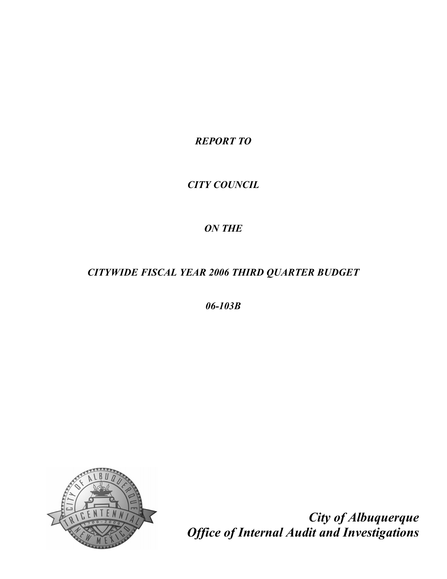*REPORT TO* 

# *CITY COUNCIL*

# *ON THE*

# *CITYWIDE FISCAL YEAR 2006 THIRD QUARTER BUDGET*

*06103B*



*City of Albuquerque Office of Internal Audit and Investigations*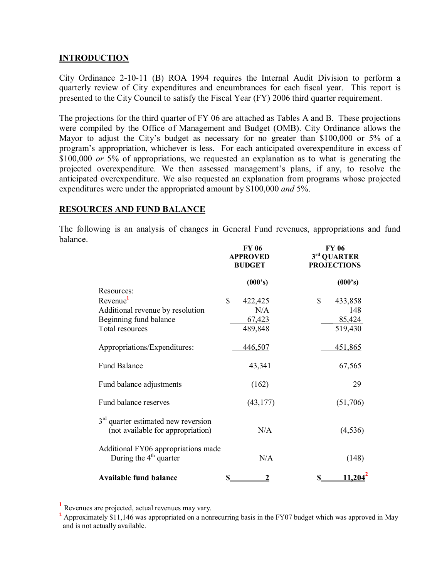## **INTRODUCTION**

City Ordinance 21011 (B) ROA 1994 requires the Internal Audit Division to perform a quarterly review of City expenditures and encumbrances for each fiscal year. This report is presented to the City Council to satisfy the Fiscal Year (FY) 2006 third quarter requirement.

The projections for the third quarter of FY 06 are attached as Tables A and B. These projections were compiled by the Office of Management and Budget (OMB). City Ordinance allows the Mayor to adjust the City's budget as necessary for no greater than \$100,000 or 5% of a program's appropriation, whichever is less. For each anticipated overexpenditure in excess of \$100,000 *or* 5% of appropriations, we requested an explanation as to what is generating the projected overexpenditure. We then assessed management's plans, if any, to resolve the anticipated overexpenditure. We also requested an explanation from programs whose projected expenditures were under the appropriated amount by \$100,000 *and* 5%.

## **RESOURCES AND FUND BALANCE**

The following is an analysis of changes in General Fund revenues, appropriations and fund balance.

|                                                                                                                     | <b>FY 06</b><br><b>APPROVED</b><br><b>BUDGET</b> | <b>FY 06</b><br>3rd QUARTER<br><b>PROJECTIONS</b>   |  |
|---------------------------------------------------------------------------------------------------------------------|--------------------------------------------------|-----------------------------------------------------|--|
|                                                                                                                     | (000's)                                          | (000's)                                             |  |
| Resources:<br>Revenue <sup>1</sup><br>Additional revenue by resolution<br>Beginning fund balance<br>Total resources | \$<br>422,425<br>N/A<br>67,423<br>489,848        | $\mathbb{S}$<br>433,858<br>148<br>85,424<br>519,430 |  |
| Appropriations/Expenditures:                                                                                        | 446,507                                          | <u>451,865</u>                                      |  |
| <b>Fund Balance</b>                                                                                                 | 43,341                                           | 67,565                                              |  |
| Fund balance adjustments                                                                                            | (162)                                            | 29                                                  |  |
| Fund balance reserves                                                                                               | (43, 177)                                        | (51,706)                                            |  |
| $3rd$ quarter estimated new reversion<br>(not available for appropriation)                                          | N/A                                              | (4, 536)                                            |  |
| Additional FY06 appropriations made<br>During the $4th$ quarter                                                     | N/A                                              | (148)                                               |  |
| <b>Available fund balance</b>                                                                                       | \$<br>2                                          | 11,204 <sup>*</sup><br>\$                           |  |

**<sup>1</sup>** Revenues are projected, actual revenues may vary.

**<sup>2</sup>** Approximately \$11,146 was appropriated on a nonrecurring basis in the FY07 budget which was approved in May and is not actually available.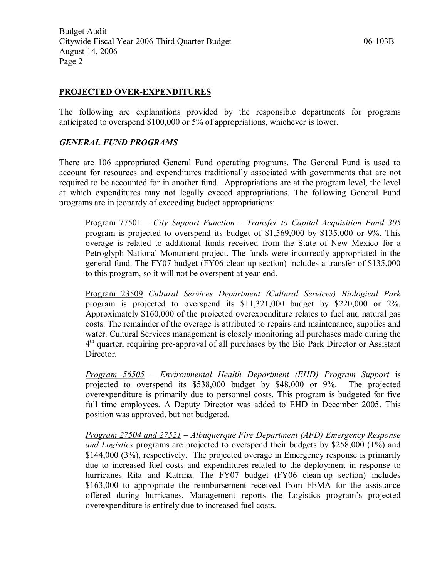## **PROJECTED OVER-EXPENDITURES**

The following are explanations provided by the responsible departments for programs anticipated to overspend \$100,000 or 5% of appropriations, whichever is lower.

## *GENERAL FUND PROGRAMS*

There are 106 appropriated General Fund operating programs. The General Fund is used to account for resources and expenditures traditionally associated with governments that are not required to be accounted for in another fund. Appropriations are at the program level, the level at which expenditures may not legally exceed appropriations. The following General Fund programs are in jeopardy of exceeding budget appropriations:

Program 77501 – *City Support Function – Transfer to Capital Acquisition Fund 305* program is projected to overspend its budget of \$1,569,000 by \$135,000 or 9%. This overage is related to additional funds received from the State of New Mexico for a Petroglyph National Monument project. The funds were incorrectly appropriated in the general fund. The FY07 budget (FY06 clean-up section) includes a transfer of \$135,000 to this program, so it will not be overspent at year-end.

Program 23509 *Cultural Services Department (Cultural Services) Biological Park* program is projected to overspend its  $$11,321,000$  budget by  $$220,000$  or 2%. Approximately \$160,000 of the projected overexpenditure relates to fuel and natural gas costs. The remainder of the overage is attributed to repairs and maintenance, supplies and water. Cultural Services management is closely monitoring all purchases made during the 4<sup>th</sup> quarter, requiring pre-approval of all purchases by the Bio Park Director or Assistant Director.

*Program 56505 – Environmental Health Department (EHD) Program Support* is projected to overspend its \$538,000 budget by \$48,000 or 9%. The projected overexpenditure is primarily due to personnel costs. This program is budgeted for five full time employees. A Deputy Director was added to EHD in December 2005. This position was approved, but not budgeted.

*Program 27504 and 27521 – Albuquerque Fire Department (AFD) Emergency Response and Logistics* programs are projected to overspend their budgets by \$258,000 (1%) and \$144,000 (3%), respectively. The projected overage in Emergency response is primarily due to increased fuel costs and expenditures related to the deployment in response to hurricanes Rita and Katrina. The FY07 budget (FY06 clean-up section) includes \$163,000 to appropriate the reimbursement received from FEMA for the assistance offered during hurricanes. Management reports the Logistics program's projected overexpenditure is entirely due to increased fuel costs.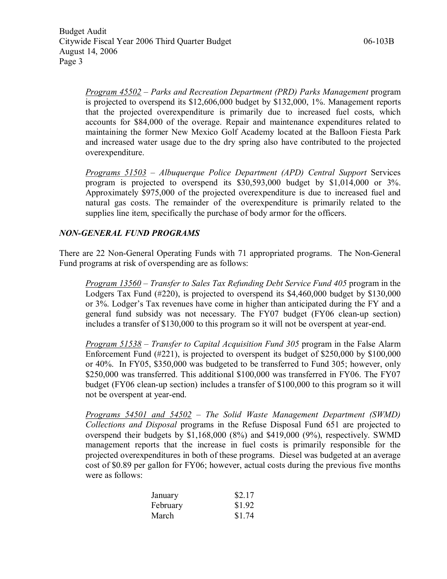*Program 45502 – Parks and Recreation Department (PRD) Parks Management* program is projected to overspend its \$12,606,000 budget by \$132,000, 1%. Management reports that the projected overexpenditure is primarily due to increased fuel costs, which accounts for \$84,000 of the overage. Repair and maintenance expenditures related to maintaining the former New Mexico Golf Academy located at the Balloon Fiesta Park and increased water usage due to the dry spring also have contributed to the projected overexpenditure.

*Programs 51503 – Albuquerque Police Department (APD) Central Support* Services program is projected to overspend its  $$30,593,000$  budget by  $$1,014,000$  or  $3\%$ . Approximately \$975,000 of the projected overexpenditure is due to increased fuel and natural gas costs. The remainder of the overexpenditure is primarily related to the supplies line item, specifically the purchase of body armor for the officers.

# *NONGENERAL FUND PROGRAMS*

There are 22 Non-General Operating Funds with 71 appropriated programs. The Non-General Fund programs at risk of overspending are as follows:

*Program 13560 – Transfer to Sales Tax Refunding Debt Service Fund 405* program in the Lodgers Tax Fund (#220), is projected to overspend its \$4,460,000 budget by \$130,000 or 3%. Lodger's Tax revenues have come in higher than anticipated during the FY and a general fund subsidy was not necessary. The FY07 budget (FY06 clean-up section) includes a transfer of \$130,000 to this program so it will not be overspent at year-end.

*Program 51538 – Transfer to Capital Acquisition Fund 305* program in the False Alarm Enforcement Fund (#221), is projected to overspent its budget of \$250,000 by \$100,000 or 40%. In FY05, \$350,000 was budgeted to be transferred to Fund 305; however, only \$250,000 was transferred. This additional \$100,000 was transferred in FY06. The FY07 budget (FY06 clean-up section) includes a transfer of \$100,000 to this program so it will not be overspent at year-end.

*Programs 54501 and 54502* – *The Solid Waste Management Department (SWMD) Collections and Disposal* programs in the Refuse Disposal Fund 651 are projected to overspend their budgets by \$1,168,000 (8%) and \$419,000 (9%), respectively. SWMD management reports that the increase in fuel costs is primarily responsible for the projected overexpenditures in both of these programs. Diesel was budgeted at an average cost of \$0.89 per gallon for FY06; however, actual costs during the previous five months were as follows:

| January  | \$2.17 |
|----------|--------|
| February | \$1.92 |
| March    | \$1.74 |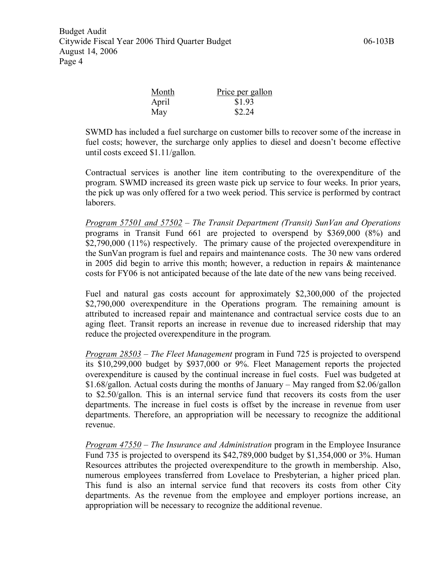| <u>Month</u> | Price per gallon |  |
|--------------|------------------|--|
| April        | \$1.93           |  |
| May          | \$2.24           |  |

SWMD has included a fuel surcharge on customer bills to recover some of the increase in fuel costs; however, the surcharge only applies to diesel and doesn't become effective until costs exceed \$1.11/gallon.

Contractual services is another line item contributing to the overexpenditure of the program. SWMD increased its green waste pick up service to four weeks. In prior years, the pick up was only offered for a two week period. This service is performed by contract laborers.

*Program 57501 and 57502* – *The Transit Department (Transit) SunVan and Operations* programs in Transit Fund 661 are projected to overspend by \$369,000 (8%) and \$2,790,000 (11%) respectively. The primary cause of the projected overexpenditure in the SunVan program is fuel and repairs and maintenance costs. The 30 new vans ordered in 2005 did begin to arrive this month; however, a reduction in repairs & maintenance costs for FY06 is not anticipated because of the late date of the new vans being received.

Fuel and natural gas costs account for approximately \$2,300,000 of the projected \$2,790,000 overexpenditure in the Operations program. The remaining amount is attributed to increased repair and maintenance and contractual service costs due to an aging fleet. Transit reports an increase in revenue due to increased ridership that may reduce the projected overexpenditure in the program.

*Program 28503* – *The Fleet Management* program in Fund 725 is projected to overspend its \$10,299,000 budget by \$937,000 or 9%. Fleet Management reports the projected overexpenditure is caused by the continual increase in fuel costs. Fuel was budgeted at \$1.68/gallon. Actual costs during the months of January – May ranged from \$2.06/gallon to \$2.50/gallon. This is an internal service fund that recovers its costs from the user departments. The increase in fuel costs is offset by the increase in revenue from user departments. Therefore, an appropriation will be necessary to recognize the additional revenue.

*Program 47550* – *The Insurance and Administration* program in the Employee Insurance Fund 735 is projected to overspend its \$42,789,000 budget by \$1,354,000 or 3%. Human Resources attributes the projected overexpenditure to the growth in membership. Also, numerous employees transferred from Lovelace to Presbyterian, a higher priced plan. This fund is also an internal service fund that recovers its costs from other City departments. As the revenue from the employee and employer portions increase, an appropriation will be necessary to recognize the additional revenue.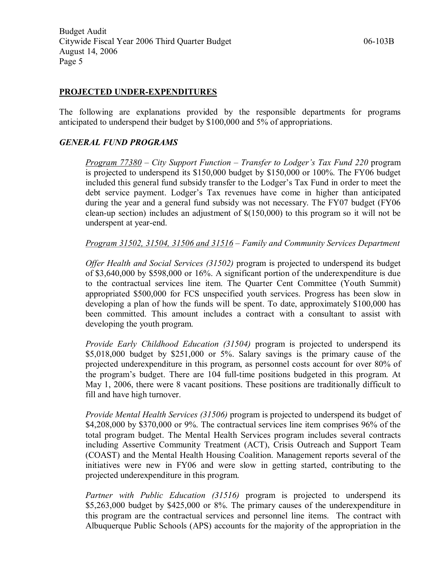#### **PROJECTED UNDER-EXPENDITURES**

The following are explanations provided by the responsible departments for programs anticipated to underspend their budget by \$100,000 and 5% of appropriations.

#### *GENERAL FUND PROGRAMS*

*Program 77380* – *City Support Function – Transfer to Lodger's Tax Fund 220* program is projected to underspend its \$150,000 budget by \$150,000 or 100%. The FY06 budget included this general fund subsidy transfer to the Lodger's Tax Fund in order to meet the debt service payment. Lodger's Tax revenues have come in higher than anticipated during the year and a general fund subsidy was not necessary. The FY07 budget (FY06 clean-up section) includes an adjustment of  $$(150,000)$  to this program so it will not be underspent at year-end.

*Program 31502, 31504, 31506 and 31516* – *Family and Community Services Department* 

*Offer Health and Social Services (31502)* program is projected to underspend its budget of \$3,640,000 by \$598,000 or 16%. A significant portion of the underexpenditure is due to the contractual services line item. The Quarter Cent Committee (Youth Summit) appropriated \$500,000 for FCS unspecified youth services. Progress has been slow in developing a plan of how the funds will be spent. To date, approximately \$100,000 has been committed. This amount includes a contract with a consultant to assist with developing the youth program.

*Provide Early Childhood Education (31504)* program is projected to underspend its \$5,018,000 budget by \$251,000 or 5%. Salary savings is the primary cause of the projected underexpenditure in this program, as personnel costs account for over 80% of the program's budget. There are 104 full-time positions budgeted in this program. At May 1, 2006, there were 8 vacant positions. These positions are traditionally difficult to fill and have high turnover.

*Provide Mental Health Services (31506)* program is projected to underspend its budget of \$4,208,000 by \$370,000 or 9%. The contractual services line item comprises 96% of the total program budget. The Mental Health Services program includes several contracts including Assertive Community Treatment (ACT), Crisis Outreach and Support Team (COAST) and the Mental Health Housing Coalition. Management reports several of the initiatives were new in FY06 and were slow in getting started, contributing to the projected underexpenditure in this program.

*Partner with Public Education (31516)* program is projected to underspend its \$5,263,000 budget by \$425,000 or 8%. The primary causes of the underexpenditure in this program are the contractual services and personnel line items. The contract with Albuquerque Public Schools (APS) accounts for the majority of the appropriation in the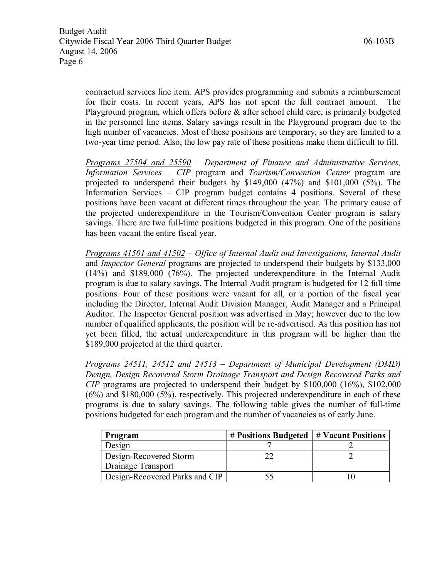contractual services line item. APS provides programming and submits a reimbursement for their costs. In recent years, APS has not spent the full contract amount. The Playground program, which offers before & after school child care, is primarily budgeted in the personnel line items. Salary savings result in the Playground program due to the high number of vacancies. Most of these positions are temporary, so they are limited to a two-year time period. Also, the low pay rate of these positions make them difficult to fill.

*Programs 27504 and 25590 – Department of Finance and Administrative Services, Information Services – CIP* program and *Tourism/Convention Center* program are projected to underspend their budgets by \$149,000 (47%) and \$101,000 (5%). The Information Services – CIP program budget contains 4 positions. Several of these positions have been vacant at different times throughout the year. The primary cause of the projected underexpenditure in the Tourism/Convention Center program is salary savings. There are two full-time positions budgeted in this program. One of the positions has been vacant the entire fiscal year.

*Programs 41501 and 41502* – *Office of Internal Audit and Investigations, Internal Audit* and *Inspector General* programs are projected to underspend their budgets by \$133,000 (14%) and \$189,000 (76%). The projected underexpenditure in the Internal Audit program is due to salary savings. The Internal Audit program is budgeted for 12 full time positions. Four of these positions were vacant for all, or a portion of the fiscal year including the Director, Internal Audit Division Manager, Audit Manager and a Principal Auditor. The Inspector General position was advertised in May; however due to the low number of qualified applicants, the position will be re-advertised. As this position has not yet been filled, the actual underexpenditure in this program will be higher than the \$189,000 projected at the third quarter.

*Programs 24511, 24512 and 24513 – Department of Municipal Development (DMD) Design, Design Recovered Storm Drainage Transport and Design Recovered Parks and CIP* programs are projected to underspend their budget by \$100,000 (16%), \$102,000 (6%) and \$180,000 (5%), respectively. This projected underexpenditure in each of these programs is due to salary savings. The following table gives the number of full-time positions budgeted for each program and the number of vacancies as of early June.

| Program                        | $#$ Positions Budgeted $#$ Vacant Positions |  |
|--------------------------------|---------------------------------------------|--|
| Design                         |                                             |  |
| Design-Recovered Storm         |                                             |  |
| Drainage Transport             |                                             |  |
| Design-Recovered Parks and CIP |                                             |  |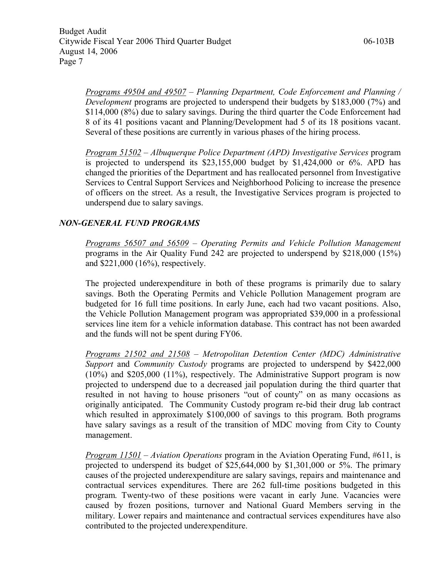*Programs 49504 and 49507 – Planning Department, Code Enforcement and Planning / Development* programs are projected to underspend their budgets by \$183,000 (7%) and \$114,000 (8%) due to salary savings. During the third quarter the Code Enforcement had 8 of its 41 positions vacant and Planning/Development had 5 of its 18 positions vacant. Several of these positions are currently in various phases of the hiring process.

*Program 51502 – Albuquerque Police Department (APD) Investigative Services* program is projected to underspend its  $$23,155,000$  budget by  $$1,424,000$  or 6%. APD has changed the priorities of the Department and has reallocated personnel from Investigative Services to Central Support Services and Neighborhood Policing to increase the presence of officers on the street. As a result, the Investigative Services program is projected to underspend due to salary savings.

# *NONGENERAL FUND PROGRAMS*

*Programs 56507 and 56509 – Operating Permits and Vehicle Pollution Management* programs in the Air Quality Fund 242 are projected to underspend by \$218,000 (15%) and \$221,000 (16%), respectively.

The projected underexpenditure in both of these programs is primarily due to salary savings. Both the Operating Permits and Vehicle Pollution Management program are budgeted for 16 full time positions. In early June, each had two vacant positions. Also, the Vehicle Pollution Management program was appropriated \$39,000 in a professional services line item for a vehicle information database. This contract has not been awarded and the funds will not be spent during FY06.

*Programs 21502 and 21508* – *Metropolitan Detention Center (MDC) Administrative Support* and *Community Custody* programs are projected to underspend by \$422,000 (10%) and \$205,000 (11%), respectively. The Administrative Support program is now projected to underspend due to a decreased jail population during the third quarter that resulted in not having to house prisoners "out of county" on as many occasions as originally anticipated. The Community Custody program rebid their drug lab contract which resulted in approximately \$100,000 of savings to this program. Both programs have salary savings as a result of the transition of MDC moving from City to County management.

*Program 11501* – *Aviation Operations* program in the Aviation Operating Fund, #611, is projected to underspend its budget of \$25,644,000 by \$1,301,000 or 5%. The primary causes of the projected underexpenditure are salary savings, repairs and maintenance and contractual services expenditures. There are 262 full-time positions budgeted in this program. Twenty-two of these positions were vacant in early June. Vacancies were caused by frozen positions, turnover and National Guard Members serving in the military. Lower repairs and maintenance and contractual services expenditures have also contributed to the projected underexpenditure.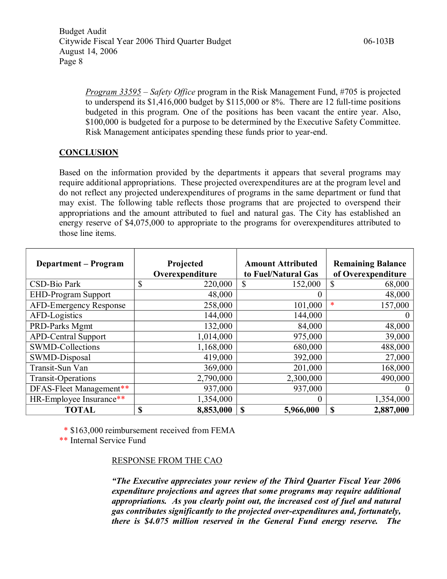*Program 33595 – Safety Office* program in the Risk Management Fund, #705 is projected to underspend its  $$1,416,000$  budget by  $$115,000$  or  $8\%$ . There are 12 full-time positions budgeted in this program. One of the positions has been vacant the entire year. Also, \$100,000 is budgeted for a purpose to be determined by the Executive Safety Committee. Risk Management anticipates spending these funds prior to year-end.

# **CONCLUSION**

Based on the information provided by the departments it appears that several programs may require additional appropriations. These projected overexpenditures are at the program level and do not reflect any projected underexpenditures of programs in the same department or fund that may exist. The following table reflects those programs that are projected to overspend their appropriations and the amount attributed to fuel and natural gas. The City has established an energy reserve of \$4,075,000 to appropriate to the programs for overexpenditures attributed to those line items.

| <b>Department – Program</b>   | Projected<br>Overexpenditure | <b>Amount Attributed</b><br>to Fuel/Natural Gas | <b>Remaining Balance</b><br>of Overexpenditure |
|-------------------------------|------------------------------|-------------------------------------------------|------------------------------------------------|
| CSD-Bio Park                  | 220,000<br>J.                | 152,000<br><sup>\$</sup>                        | \$<br>68,000                                   |
| <b>EHD-Program Support</b>    | 48,000                       | $\theta$                                        | 48,000                                         |
| <b>AFD-Emergency Response</b> | 258,000                      | 101,000                                         | *<br>157,000                                   |
| AFD-Logistics                 | 144,000                      | 144,000                                         |                                                |
| PRD-Parks Mgmt                | 132,000                      | 84,000                                          | 48,000                                         |
| <b>APD-Central Support</b>    | 1,014,000                    | 975,000                                         | 39,000                                         |
| <b>SWMD-Collections</b>       | 1,168,000                    | 680,000                                         | 488,000                                        |
| SWMD-Disposal                 | 419,000                      | 392,000                                         | 27,000                                         |
| Transit-Sun Van               | 369,000                      | 201,000                                         | 168,000                                        |
| <b>Transit-Operations</b>     | 2,790,000                    | 2,300,000                                       | 490,000                                        |
| DFAS-Fleet Management**       | 937,000                      | 937,000                                         |                                                |
| HR-Employee Insurance**       | 1,354,000                    | $\Omega$                                        | 1,354,000                                      |
| <b>TOTAL</b>                  | <b>S</b><br>8,853,000        | <b>S</b><br>5,966,000                           | <b>S</b><br>2,887,000                          |

\* \$163,000 reimbursement received from FEMA

\*\* Internal Service Fund

## RESPONSE FROM THE CAO

*"The Executive appreciates your review of the Third Quarter Fiscal Year 2006 expenditure projections and agrees that some programs may require additional appropriations. As you clearly point out, the increased cost of fuel and natural gas contributes significantly to the projected overexpenditures and, fortunately, there is \$4.075 million reserved in the General Fund energy reserve. The*